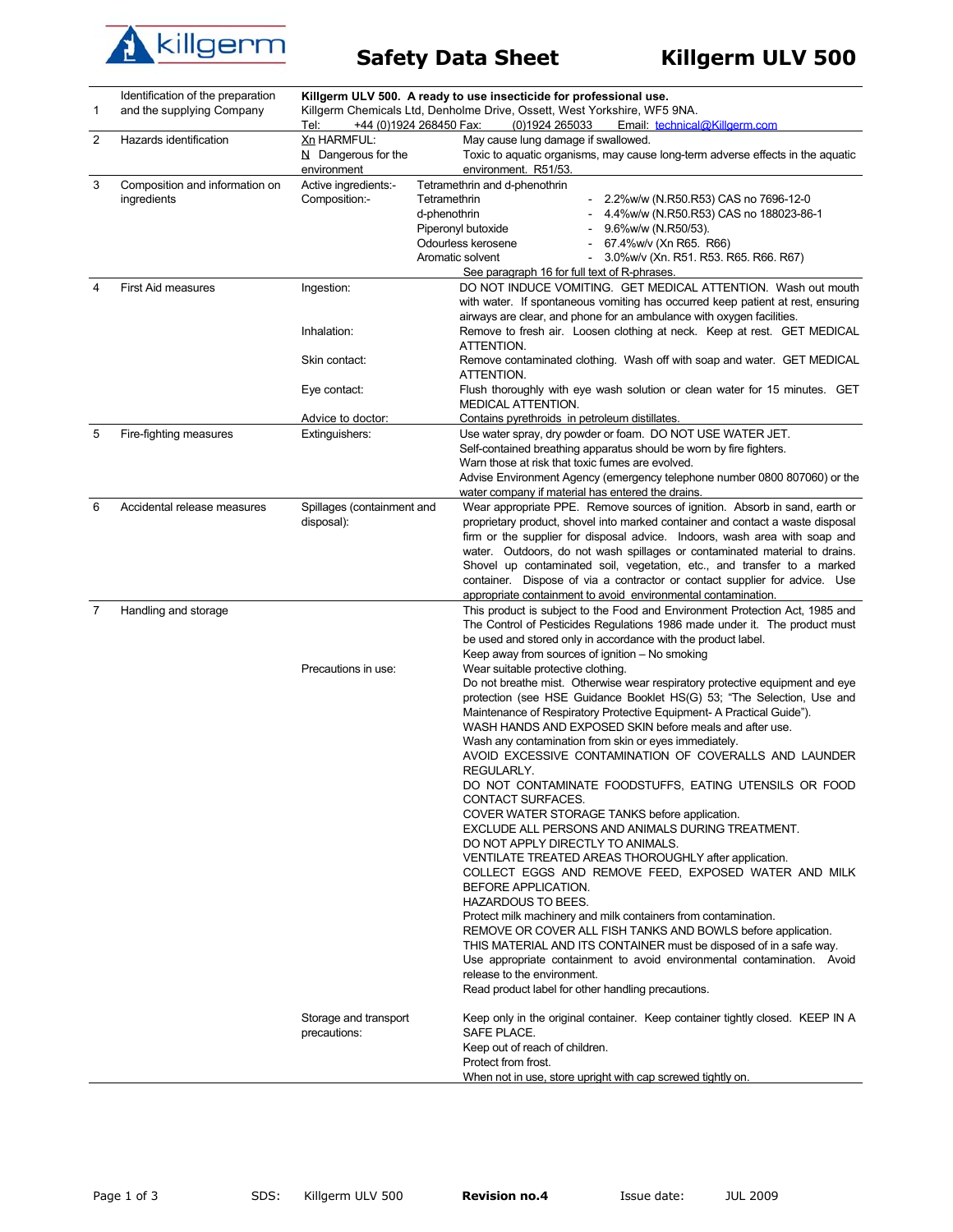

| 1 | Identification of the preparation<br>and the supplying Company | +44 (0)1924 268450 Fax:<br>Tel:                            | Killgerm ULV 500. A ready to use insecticide for professional use.<br>Killgerm Chemicals Ltd, Denholme Drive, Ossett, West Yorkshire, WF5 9NA.<br>(0)1924 265033<br>Email: technical@Killgerm.com                                                                                                                                                                                                                                                                                                                                                                                                                                                                                                                                                                                                                                                                                                                                                                                                                                                                                                                                                                                                                                                                                                                                                                                                                                                                                                                   |
|---|----------------------------------------------------------------|------------------------------------------------------------|---------------------------------------------------------------------------------------------------------------------------------------------------------------------------------------------------------------------------------------------------------------------------------------------------------------------------------------------------------------------------------------------------------------------------------------------------------------------------------------------------------------------------------------------------------------------------------------------------------------------------------------------------------------------------------------------------------------------------------------------------------------------------------------------------------------------------------------------------------------------------------------------------------------------------------------------------------------------------------------------------------------------------------------------------------------------------------------------------------------------------------------------------------------------------------------------------------------------------------------------------------------------------------------------------------------------------------------------------------------------------------------------------------------------------------------------------------------------------------------------------------------------|
| 2 | Hazards identification                                         | <b>Xn HARMFUL:</b><br>$N$ Dangerous for the<br>environment | May cause lung damage if swallowed.<br>Toxic to aquatic organisms, may cause long-term adverse effects in the aquatic<br>environment. R51/53.                                                                                                                                                                                                                                                                                                                                                                                                                                                                                                                                                                                                                                                                                                                                                                                                                                                                                                                                                                                                                                                                                                                                                                                                                                                                                                                                                                       |
| 3 | Composition and information on<br>ingredients                  | Active ingredients:-<br>Composition:-                      | Tetramethrin and d-phenothrin<br>Tetramethrin<br>2.2%w/w (N.R50.R53) CAS no 7696-12-0<br>d-phenothrin<br>4.4%w/w (N.R50.R53) CAS no 188023-86-1<br>Piperonyl butoxide<br>9.6%w/w (N.R50/53).<br>Odourless kerosene<br>67.4%w/v (Xn R65. R66)<br>Aromatic solvent<br>3.0%w/v (Xn. R51. R53. R65. R66. R67)<br>$\blacksquare$<br>See paragraph 16 for full text of R-phrases.                                                                                                                                                                                                                                                                                                                                                                                                                                                                                                                                                                                                                                                                                                                                                                                                                                                                                                                                                                                                                                                                                                                                         |
| 4 | <b>First Aid measures</b>                                      | Ingestion:<br>Inhalation:                                  | DO NOT INDUCE VOMITING. GET MEDICAL ATTENTION. Wash out mouth<br>with water. If spontaneous vomiting has occurred keep patient at rest, ensuring<br>airways are clear, and phone for an ambulance with oxygen facilities.<br>Remove to fresh air. Loosen clothing at neck. Keep at rest. GET MEDICAL                                                                                                                                                                                                                                                                                                                                                                                                                                                                                                                                                                                                                                                                                                                                                                                                                                                                                                                                                                                                                                                                                                                                                                                                                |
|   |                                                                | Skin contact:                                              | ATTENTION.<br>Remove contaminated clothing. Wash off with soap and water. GET MEDICAL<br>ATTENTION.                                                                                                                                                                                                                                                                                                                                                                                                                                                                                                                                                                                                                                                                                                                                                                                                                                                                                                                                                                                                                                                                                                                                                                                                                                                                                                                                                                                                                 |
|   |                                                                | Eye contact:                                               | Flush thoroughly with eye wash solution or clean water for 15 minutes. GET<br>MEDICAL ATTENTION.                                                                                                                                                                                                                                                                                                                                                                                                                                                                                                                                                                                                                                                                                                                                                                                                                                                                                                                                                                                                                                                                                                                                                                                                                                                                                                                                                                                                                    |
| 5 | Fire-fighting measures                                         | Advice to doctor:<br>Extinguishers:                        | Contains pyrethroids in petroleum distillates.<br>Use water spray, dry powder or foam. DO NOT USE WATER JET.<br>Self-contained breathing apparatus should be worn by fire fighters.<br>Warn those at risk that toxic fumes are evolved.<br>Advise Environment Agency (emergency telephone number 0800 807060) or the<br>water company if material has entered the drains.                                                                                                                                                                                                                                                                                                                                                                                                                                                                                                                                                                                                                                                                                                                                                                                                                                                                                                                                                                                                                                                                                                                                           |
| 6 | Accidental release measures                                    | Spillages (containment and<br>disposal):                   | Wear appropriate PPE. Remove sources of ignition. Absorb in sand, earth or<br>proprietary product, shovel into marked container and contact a waste disposal<br>firm or the supplier for disposal advice. Indoors, wash area with soap and<br>water. Outdoors, do not wash spillages or contaminated material to drains.<br>Shovel up contaminated soil, vegetation, etc., and transfer to a marked<br>container. Dispose of via a contractor or contact supplier for advice. Use<br>appropriate containment to avoid environmental contamination.                                                                                                                                                                                                                                                                                                                                                                                                                                                                                                                                                                                                                                                                                                                                                                                                                                                                                                                                                                  |
| 7 | Handling and storage                                           | Precautions in use:                                        | This product is subject to the Food and Environment Protection Act, 1985 and<br>The Control of Pesticides Regulations 1986 made under it. The product must<br>be used and stored only in accordance with the product label.<br>Keep away from sources of ignition - No smoking<br>Wear suitable protective clothing.<br>Do not breathe mist. Otherwise wear respiratory protective equipment and eye<br>protection (see HSE Guidance Booklet HS(G) 53; "The Selection, Use and<br>Maintenance of Respiratory Protective Equipment- A Practical Guide").<br>WASH HANDS AND EXPOSED SKIN before meals and after use.<br>Wash any contamination from skin or eyes immediately.<br>AVOID EXCESSIVE CONTAMINATION OF COVERALLS AND LAUNDER<br>REGULARLY.<br>DO NOT CONTAMINATE FOODSTUFFS, EATING UTENSILS OR FOOD<br>CONTACT SURFACES.<br>COVER WATER STORAGE TANKS before application.<br>EXCLUDE ALL PERSONS AND ANIMALS DURING TREATMENT.<br>DO NOT APPLY DIRECTLY TO ANIMALS.<br>VENTILATE TREATED AREAS THOROUGHLY after application.<br>COLLECT EGGS AND REMOVE FEED, EXPOSED WATER AND MILK<br>BEFORE APPLICATION.<br>HAZARDOUS TO BEES.<br>Protect milk machinery and milk containers from contamination.<br>REMOVE OR COVER ALL FISH TANKS AND BOWLS before application.<br>THIS MATERIAL AND ITS CONTAINER must be disposed of in a safe way.<br>Use appropriate containment to avoid environmental contamination. Avoid<br>release to the environment.<br>Read product label for other handling precautions. |
|   |                                                                | Storage and transport<br>precautions:                      | Keep only in the original container. Keep container tightly closed. KEEP IN A<br>SAFE PLACE.<br>Keep out of reach of children.<br>Protect from frost.<br>When not in use, store upright with cap screwed tightly on.                                                                                                                                                                                                                                                                                                                                                                                                                                                                                                                                                                                                                                                                                                                                                                                                                                                                                                                                                                                                                                                                                                                                                                                                                                                                                                |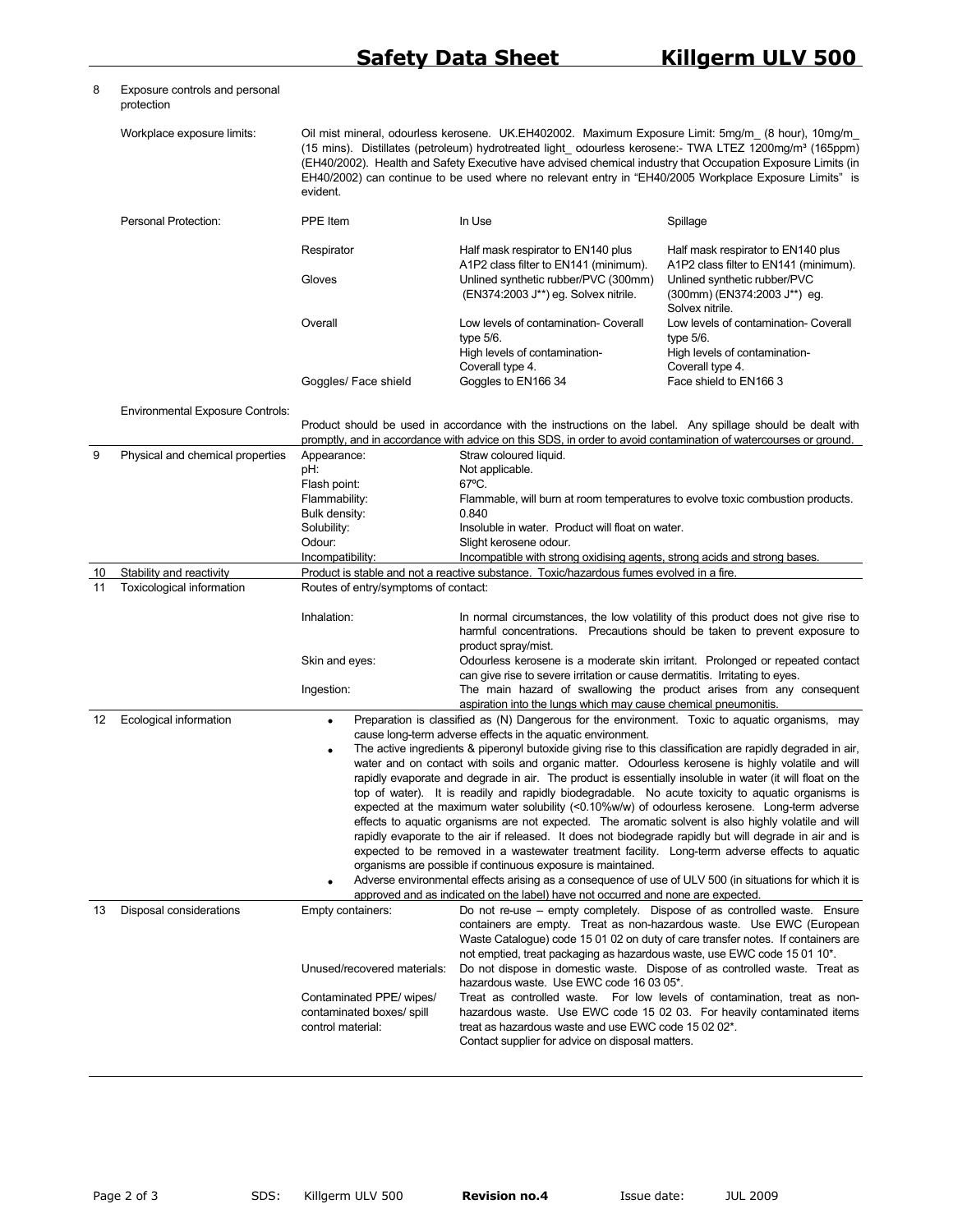8 Exposure controls and personal

protection

## Workplace exposure limits: Oil mist mineral, odourless kerosene. UK.EH402002. Maximum Exposure Limit: 5mg/m\_ (8 hour), 10mg/m\_ (15 mins). Distillates (petroleum) hydrotreated light\_ odourless kerosene:- TWA LTEZ 1200mg/m<sup>3</sup> (165ppm) (EH40/2002). Health and Safety Executive have advised chemical industry that Occupation Exposure Limits (in EH40/2002) can continue to be used where no relevant entry in "EH40/2005 Workplace Exposure Limits" is evident. Personal Protection: PPE Item In Use In Use Spillage Respirator **Half mask respirator to EN140 plus** A1P2 class filter to EN141 (minimum). Half mask respirator to EN140 plus A1P2 class filter to EN141 (minimum). Gloves Unlined synthetic rubber/PVC (300mm) (EN374:2003 J\*\*) eg. Solvex nitrile. Unlined synthetic rubber/PVC (300mm) (EN374:2003 J\*\*) eg. Solvex nitrile. Overall Low levels of contamination- Coverall type 5/6. High levels of contamination-Coverall type 4. Low levels of contamination- Coverall type 5/6. High levels of contamination-Coverall type 4. Goggles/ Face shield Goggles to EN166 34 Face shield to EN166 3 Environmental Exposure Controls: Product should be used in accordance with the instructions on the label. Any spillage should be dealt with promptly, and in accordance with advice on this SDS, in order to avoid contamination of watercourses or ground 9 Physical and chemical properties Appearance: Straw coloured liquid. pH:  $D = D$  Not applicable. Flash point: 67°C. Flammability: Flammable, will burn at room temperatures to evolve toxic combustion products. Bulk density: 0.840 Solubility: Insoluble in water. Product will float on water. Odour: Slight kerosene odour. Incompatibility: Incompatible with strong oxidising agents, strong acids and strong bases. 10 Stability and reactivity Product is stable and not a reactive substance. Toxic/hazardous fumes evolved in a fire. 11 Toxicological information Routes of entry/symptoms of contact: Inhalation: In normal circumstances, the low volatility of this product does not give rise to harmful concentrations. Precautions should be taken to prevent exposure to product spray/mist. Skin and eyes: Odourless kerosene is a moderate skin irritant. Prolonged or repeated contact can give rise to severe irritation or cause dermatitis. Irritating to eyes. Ingestion: The main hazard of swallowing the product arises from any consequent aspiration into the lungs which may cause chemical pneumonitis. 12 Ecological information • **•** Preparation is classified as (N) Dangerous for the environment. Toxic to aquatic organisms, may cause long-term adverse effects in the aquatic environment. • The active ingredients & piperonyl butoxide giving rise to this classification are rapidly degraded in air, water and on contact with soils and organic matter. Odourless kerosene is highly volatile and will rapidly evaporate and degrade in air. The product is essentially insoluble in water (it will float on the top of water). It is readily and rapidly biodegradable. No acute toxicity to aquatic organisms is expected at the maximum water solubility (<0.10%w/w) of odourless kerosene. Long-term adverse effects to aquatic organisms are not expected. The aromatic solvent is also highly volatile and will rapidly evaporate to the air if released. It does not biodegrade rapidly but will degrade in air and is expected to be removed in a wastewater treatment facility. Long-term adverse effects to aquatic organisms are possible if continuous exposure is maintained. • Adverse environmental effects arising as a consequence of use of ULV 500 (in situations for which it is approved and as indicated on the label) have not occurred and none are expected. 13 Disposal considerations Empty containers: Do not re-use – empty completely. Dispose of as controlled waste. Ensure containers are empty. Treat as non-hazardous waste. Use EWC (European Waste Catalogue) code 15 01 02 on duty of care transfer notes. If containers are not emptied, treat packaging as hazardous waste, use EWC code 15 01 10\*. Unused/recovered materials: Do not dispose in domestic waste. Dispose of as controlled waste. Treat as hazardous waste. Use EWC code 16 03 05\*. Contaminated PPE/ wipes/ contaminated boxes/ spill control material: Treat as controlled waste. For low levels of contamination, treat as nonhazardous waste. Use EWC code 15 02 03. For heavily contaminated items treat as hazardous waste and use EWC code 15 02 02\*. Contact supplier for advice on disposal matters.